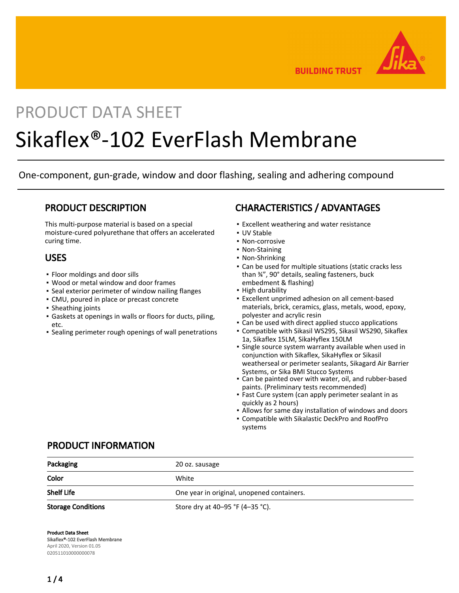

**BUILDING TRUST** 

## PRODUCT DATA SHEET

# Sikaflex®-102 EverFlash Membrane

One-component, gun-grade, window and door flashing, sealing and adhering compound

## PRODUCT DESCRIPTION

This multi-purpose material is based on a special moisture-cured polyurethane that offers an accelerated curing time.

## USES

- Floor moldings and door sills
- Wood or metal window and door frames
- Seal exterior perimeter of window nailing flanges
- CMU, poured in place or precast concrete
- Sheathing joints
- Gaskets at openings in walls or floors for ducts, piling, etc.
- Sealing perimeter rough openings of wall penetrations

## CHARACTERISTICS / ADVANTAGES

- **Excellent weathering and water resistance**
- UV Stable
- Non-corrosive
- Non-Staining
- Non-Shrinking
- Can be used for multiple situations (static cracks less than ¾", 90° details, sealing fasteners, buck embedment & flashing)
- High durability
- Excellent unprimed adhesion on all cement-based materials, brick, ceramics, glass, metals, wood, epoxy, polyester and acrylic resin
- **Can be used with direct applied stucco applications**
- Compatible with Sikasil WS295, Sikasil WS290, Sikaflex 1a, Sikaflex 15LM, SikaHyflex 150LM
- **·** Single source system warranty available when used in conjunction with Sikaflex, SikaHyflex or Sikasil weatherseal or perimeter sealants, Sikagard Air Barrier Systems, or Sika BMI Stucco Systems
- Can be painted over with water, oil, and rubber-based paints. (Preliminary tests recommended)
- **Fast Cure system (can apply perimeter sealant in as** quickly as 2 hours)
- Allows for same day installation of windows and doors
- Compatible with Sikalastic DeckPro and RoofPro systems

## PRODUCT INFORMATION

| Packaging                 | 20 oz. sausage                             |  |
|---------------------------|--------------------------------------------|--|
| Color                     | White                                      |  |
| <b>Shelf Life</b>         | One year in original, unopened containers. |  |
| <b>Storage Conditions</b> | Store dry at 40-95 °F (4-35 °C).           |  |

Product Data Sheet

Sikaflex®-102 EverFlash Membrane April 2020, Version 01.05 020511010000000078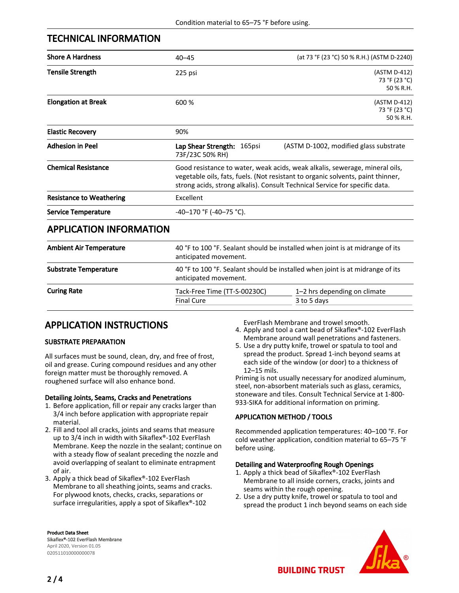## TECHNICAL INFORMATION

| <b>Shore A Hardness</b>         | $40 - 45$                                                                                                                                                                                                                                     | (at 73 °F (23 °C) 50 % R.H.) (ASTM D-2240)  |  |
|---------------------------------|-----------------------------------------------------------------------------------------------------------------------------------------------------------------------------------------------------------------------------------------------|---------------------------------------------|--|
| <b>Tensile Strength</b>         | 225 psi                                                                                                                                                                                                                                       | (ASTM D-412)<br>73 °F (23 °C)<br>50 % R.H.  |  |
| <b>Elongation at Break</b>      | 600 %                                                                                                                                                                                                                                         | (ASTM D-412)<br>73 °F (23 °C)<br>50 % R.H.  |  |
| <b>Elastic Recovery</b>         | 90%                                                                                                                                                                                                                                           |                                             |  |
| <b>Adhesion in Peel</b>         | Lap Shear Strength: 165psi<br>73F/23C 50% RH)                                                                                                                                                                                                 | (ASTM D-1002, modified glass substrate      |  |
| <b>Chemical Resistance</b>      | Good resistance to water, weak acids, weak alkalis, sewerage, mineral oils,<br>vegetable oils, fats, fuels. (Not resistant to organic solvents, paint thinner,<br>strong acids, strong alkalis). Consult Technical Service for specific data. |                                             |  |
| <b>Resistance to Weathering</b> | Excellent                                                                                                                                                                                                                                     |                                             |  |
| <b>Service Temperature</b>      | $-40-170$ °F ( $-40-75$ °C).                                                                                                                                                                                                                  |                                             |  |
| <b>APPLICATION INFORMATION</b>  |                                                                                                                                                                                                                                               |                                             |  |
| <b>Ambient Air Temperature</b>  | 40 °F to 100 °F. Sealant should be installed when joint is at midrange of its<br>anticipated movement.                                                                                                                                        |                                             |  |
| <b>Substrate Temperature</b>    | 40 °F to 100 °F. Sealant should be installed when joint is at midrange of its<br>anticipated movement.                                                                                                                                        |                                             |  |
| <b>Curing Rate</b>              | Tack-Free Time (TT-S-00230C)<br><b>Final Cure</b>                                                                                                                                                                                             | 1-2 hrs depending on climate<br>3 to 5 days |  |

## APPLICATION INSTRUCTIONS

#### SUBSTRATE PREPARATION

All surfaces must be sound, clean, dry, and free of frost, oil and grease. Curing compound residues and any other foreign matter must be thoroughly removed. A roughened surface will also enhance bond.

#### Detailing Joints, Seams, Cracks and Penetrations

- 1. Before application, fill or repair any cracks larger than 3/4 inch before application with appropriate repair material.
- 2. Fill and tool all cracks, joints and seams that measure up to 3/4 inch in width with Sikaflex®-102 EverFlash Membrane. Keep the nozzle in the sealant; continue on with a steady flow of sealant preceding the nozzle and avoid overlapping of sealant to eliminate entrapment of air.
- 3. Apply a thick bead of Sikaflex®-102 EverFlash Membrane to all sheathing joints, seams and cracks. For plywood knots, checks, cracks, separations or surface irregularities, apply a spot of Sikaflex®-102

EverFlash Membrane and trowel smooth.

4. Apply and tool a cant bead of Sikaflex®-102 EverFlash Membrane around wall penetrations and fasteners.

Use a dry putty knife, trowel or spatula to tool and 5. spread the product. Spread 1-inch beyond seams at each side of the window (or door) to a thickness of 12–15 mils.

Priming is not usually necessary for anodized aluminum, steel, non-absorbent materials such as glass, ceramics, stoneware and tiles. Consult Technical Service at 1-800- 933-SIKA for additional information on priming.

#### APPLICATION METHOD / TOOLS

Recommended application temperatures: 40–100 °F. For cold weather application, condition material to 65–75 °F before using.

#### Detailing and Waterproofing Rough Openings

- 1. Apply a thick bead of Sikaflex®-102 EverFlash Membrane to all inside corners, cracks, joints and seams within the rough opening.
- 2. Use a dry putty knife, trowel or spatula to tool and spread the product 1 inch beyond seams on each side



Product Data Sheet Sikaflex®-102 EverFlash Membrane April 2020, Version 01.05 020511010000000078

**BUILDING TRUST**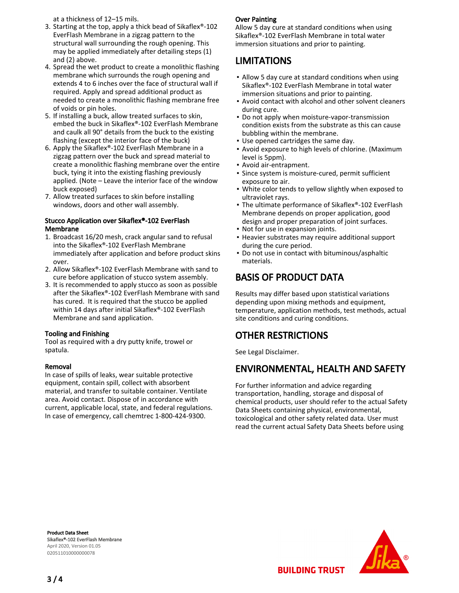at a thickness of 12–15 mils.

- Starting at the top, apply a thick bead of Sikaflex®-102 3. EverFlash Membrane in a zigzag pattern to the structural wall surrounding the rough opening. This may be applied immediately after detailing steps (1) and (2) above.
- 4. Spread the wet product to create a monolithic flashing membrane which surrounds the rough opening and extends 4 to 6 inches over the face of structural wall if required. Apply and spread additional product as needed to create a monolithic flashing membrane free of voids or pin holes.
- 5. If installing a buck, allow treated surfaces to skin, embed the buck in Sikaflex®-102 EverFlash Membrane and caulk all 90° details from the buck to the existing flashing (except the interior face of the buck)
- 6. Apply the Sikaflex®-102 EverFlash Membrane in a zigzag pattern over the buck and spread material to create a monolithic flashing membrane over the entire buck, tying it into the existing flashing previously applied. (Note – Leave the interior face of the window buck exposed)
- 7. Allow treated surfaces to skin before installing windows, doors and other wall assembly.

#### Stucco Application over Sikaflex®-102 EverFlash Membrane

- 1. Broadcast 16/20 mesh, crack angular sand to refusal into the Sikaflex®-102 EverFlash Membrane immediately after application and before product skins over.
- 2. Allow Sikaflex®-102 EverFlash Membrane with sand to cure before application of stucco system assembly.
- 3. It is recommended to apply stucco as soon as possible after the Sikaflex®-102 EverFlash Membrane with sand has cured. It is required that the stucco be applied within 14 days after initial Sikaflex®-102 EverFlash Membrane and sand application.

#### Tooling and Finishing

Tool as required with a dry putty knife, trowel or spatula.

#### Removal

In case of spills of leaks, wear suitable protective equipment, contain spill, collect with absorbent material, and transfer to suitable container. Ventilate area. Avoid contact. Dispose of in accordance with current, applicable local, state, and federal regulations. In case of emergency, call chemtrec 1-800-424-9300.

#### Over Painting

Allow 5 day cure at standard conditions when using Sikaflex®-102 EverFlash Membrane in total water immersion situations and prior to painting.

## LIMITATIONS

- Allow 5 day cure at standard conditions when using Sikaflex®-102 EverFlash Membrane in total water immersion situations and prior to painting.
- Avoid contact with alcohol and other solvent cleaners during cure.
- Do not apply when moisture-vapor-transmission condition exists from the substrate as this can cause bubbling within the membrane.
- **.** Use opened cartridges the same day.
- Avoid exposure to high levels of chlorine. (Maximum level is 5ppm).
- Avoid air-entrapment.
- **·** Since system is moisture-cured, permit sufficient exposure to air.
- White color tends to yellow slightly when exposed to ultraviolet rays. ▪
- The ultimate performance of Sikaflex®-102 EverFlash Membrane depends on proper application, good design and proper preparation of joint surfaces.
- Not for use in expansion joints.
- **Heavier substrates may require additional support** during the cure period.
- Do not use in contact with bituminous/asphaltic materials.

## BASIS OF PRODUCT DATA

Results may differ based upon statistical variations depending upon mixing methods and equipment, temperature, application methods, test methods, actual site conditions and curing conditions.

## OTHER RESTRICTIONS

See Legal Disclaimer.

## ENVIRONMENTAL, HEALTH AND SAFETY

For further information and advice regarding transportation, handling, storage and disposal of chemical products, user should refer to the actual Safety Data Sheets containing physical, environmental, toxicological and other safety related data. User must read the current actual Safety Data Sheets before using

Product Data Sheet Sikaflex®-102 EverFlash Membrane April 2020, Version 01.05 020511010000000078